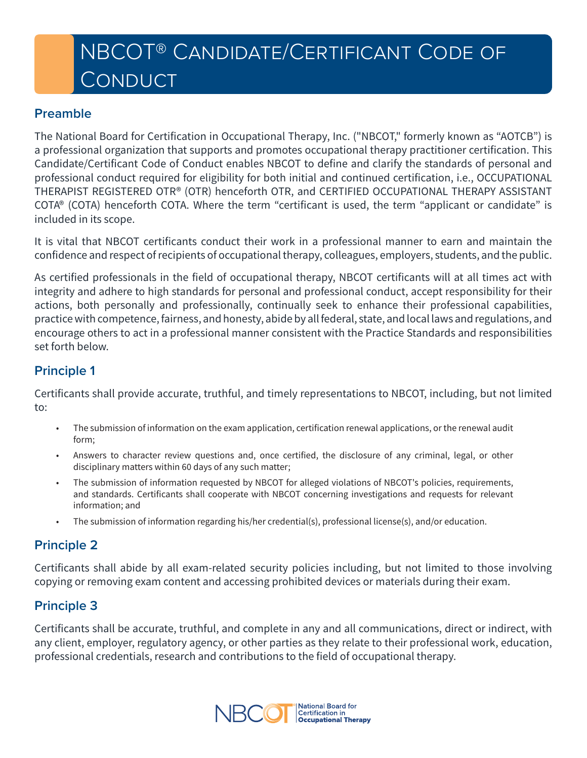# **NBCOT® CANDIDATE/CERTIFICANT CODE OF CONDUCT**

#### **Preamble**

The National Board for Certification in Occupational Therapy, Inc. ("NBCOT," formerly known as "AOTCB") is a professional organization that supports and promotes occupational therapy practitioner certification. This Candidate/Certificant Code of Conduct enables NBCOT to define and clarify the standards of personal and professional conduct required for eligibility for both initial and continued certification, i.e., OCCUPATIONAL THERAPIST REGISTERED OTR® (OTR) henceforth OTR, and CERTIFIED OCCUPATIONAL THERAPY ASSISTANT COTA® (COTA) henceforth COTA. Where the term "certificant is used, the term "applicant or candidate" is included in its scope.

It is vital that NBCOT certificants conduct their work in a professional manner to earn and maintain the confidence and respect of recipients of occupational therapy, colleagues, employers, students, and the public.

As certified professionals in the field of occupational therapy, NBCOT certificants will at all times act with integrity and adhere to high standards for personal and professional conduct, accept responsibility for their actions, both personally and professionally, continually seek to enhance their professional capabilities, practice with competence, fairness, and honesty, abide by all federal, state, and local laws and regulations, and encourage others to act in a professional manner consistent with the Practice Standards and responsibilities set forth below.

## **Principle 1**

Certificants shall provide accurate, truthful, and timely representations to NBCOT, including, but not limited to:

- The submission of information on the exam application, certification renewal applications, or the renewal audit form;
- Answers to character review questions and, once certified, the disclosure of any criminal, legal, or other disciplinary matters within 60 days of any such matter;
- The submission of information requested by NBCOT for alleged violations of NBCOT's policies, requirements, and standards. Certificants shall cooperate with NBCOT concerning investigations and requests for relevant information; and
- The submission of information regarding his/her credential(s), professional license(s), and/or education.

## **Principle 2**

Certificants shall abide by all exam-related security policies including, but not limited to those involving copying or removing exam content and accessing prohibited devices or materials during their exam.

## **Principle 3**

Certificants shall be accurate, truthful, and complete in any and all communications, direct or indirect, with any client, employer, regulatory agency, or other parties as they relate to their professional work, education, professional credentials, research and contributions to the field of occupational therapy.